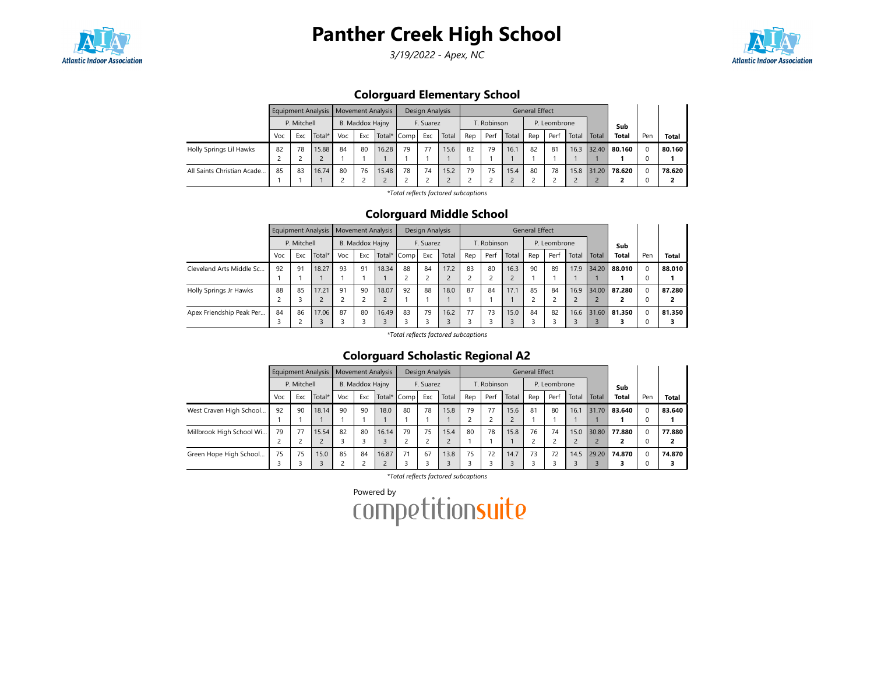

3/19/2022 - Apex, NC



## Colorguard Elementary School

|                            |     |             | Equipment Analysis   Movement Analysis |     |                 |             |    | Design Analysis |       |     |             |       | <b>General Effect</b> |              |       |       |              |     |              |
|----------------------------|-----|-------------|----------------------------------------|-----|-----------------|-------------|----|-----------------|-------|-----|-------------|-------|-----------------------|--------------|-------|-------|--------------|-----|--------------|
|                            |     | P. Mitchell |                                        |     | B. Maddox Hajny |             |    | F. Suarez       |       |     | T. Robinson |       |                       | P. Leombrone |       |       | Sub          |     |              |
|                            | Voc | Exc         | Total*                                 | Voc | Exc             | Total* Comp |    | Exc             | Total | Rep | Perf        | Total | Rep                   | Perf         | Total | Total | <b>Total</b> | Pen | <b>Total</b> |
| Holly Springs Lil Hawks    | 82  | 78          | 15.88                                  | 84  | 80              | 16.28       | 79 | 77              | 15.6  | 82  | 79          | 16.1  | 82                    | 81           | 16.3  | 32.40 | 80.160       |     | 80.160       |
|                            |     |             |                                        |     |                 |             |    |                 |       |     |             |       |                       |              |       |       |              |     |              |
| All Saints Christian Acade | 85  | 83          | 16.74                                  | 80  | 76              | 15.48       | 78 | 74              | 15.2  | 79  | 75          | 15.4  | 80                    | 78           | 15.8  | 31.20 | 78.620       |     | 78.620       |
|                            |     |             |                                        |     |                 |             |    |                 |       |     |             |       |                       |              |       |       |              |     |              |

\*Total reflects factored subcaptions

#### Colorguard Middle School

|                          |     |             | Equipment Analysis | <b>Movement Analysis</b> |                 |        |      | Design Analysis |       |     |             |       | <b>General Effect</b> |              |           |       |              |     |              |
|--------------------------|-----|-------------|--------------------|--------------------------|-----------------|--------|------|-----------------|-------|-----|-------------|-------|-----------------------|--------------|-----------|-------|--------------|-----|--------------|
|                          |     | P. Mitchell |                    |                          | B. Maddox Hajny |        |      | F. Suarez       |       |     | T. Robinson |       |                       | P. Leombrone |           |       | Sub          |     |              |
|                          | Voc | Exc         | Total*             | Voc                      | Exc             | Total* | Comp | Exc             | Total | Rep | Perf        | Total | Rep                   | Perf         | Total     | Total | <b>Total</b> | Pen | <b>Total</b> |
| Cleveland Arts Middle Sc | 92  | 91          | 18.27              | 93                       | 91              | 18.34  | 88   | 84              | 17.2  | 83  | 80          | 16.3  | 90                    | 89           | 17.9      | 34.20 | 88.010       |     | 88.010       |
|                          |     |             |                    |                          |                 |        |      |                 |       |     |             |       |                       |              |           |       |              |     |              |
| Holly Springs Jr Hawks   | 88  | 85          | 17.21              | 91                       | 90              | 18.07  | 92   | 88              | 18.0  | 87  | 84          | 17.1  | 85                    | 84           | 16.9      | 34.00 | 87.280       |     | 87.280       |
|                          |     |             |                    |                          |                 |        |      |                 |       |     |             |       |                       |              | $\bigcap$ |       |              |     | ,            |
| Apex Friendship Peak Per | 84  | 86          | 17.06              | 87                       | 80              | 16.49  | 83   | 79              | 16.2  | 77  | 73          | 15.0  | 84                    | 82           | 16.6      | 31.60 | 81.350       |     | 81.350       |
|                          |     |             |                    |                          |                 |        |      |                 |       |     |             |       |                       |              |           |       |              |     |              |

\*Total reflects factored subcaptions

# Colorguard Scholastic Regional A2

|                          |     |             | Equipment Analysis |     |                 | <b>Movement Analysis</b> |             | Design Analysis |       |     |             |       | <b>General Effect</b> |              |       |       |              |          |        |
|--------------------------|-----|-------------|--------------------|-----|-----------------|--------------------------|-------------|-----------------|-------|-----|-------------|-------|-----------------------|--------------|-------|-------|--------------|----------|--------|
|                          |     | P. Mitchell |                    |     | B. Maddox Hajny |                          |             | F. Suarez       |       |     | T. Robinson |       |                       | P. Leombrone |       |       | Sub          |          |        |
|                          | Voc | Exc         | Total*             | Voc | Exc             |                          | Total* Comp | Exc             | Total | Rep | Perf        | Total | Rep                   | Perf         | Total | Total | <b>Total</b> | Pen      | Total  |
| West Craven High School  | 92  | 90          | 18.14              | 90  | 90              | 18.0                     | 80          | 78              | 15.8  | 79  | 77          | 15.6  | 81                    | 80           | 16.1  | 31.70 | 83.640       | $\Omega$ | 83.640 |
|                          |     |             |                    |     |                 |                          |             |                 |       |     |             |       |                       |              |       |       |              |          |        |
| Millbrook High School Wi | 79  | 77          | 15.54              | 82  | 80              | 16.14                    | 79          | 75              | 15.4  | 80  | 78          | 15.8  | 76                    | 74           | 15.0  | 30.80 | 77.880       | $\Omega$ | 77.880 |
|                          |     |             |                    |     |                 |                          |             |                 |       |     |             |       |                       |              |       |       |              |          |        |
| Green Hope High School   | 75  | 75          | 15.0               | 85  | 84              | 16.87                    | 71          | 67              | 13.8  | 75  | 72          | 14.7  | 73                    | 72           | 14.5  | 29.20 | 74.870       | $\Omega$ | 74.870 |
|                          |     |             |                    |     |                 |                          |             |                 |       |     |             |       |                       |              |       |       |              |          |        |

\*Total reflects factored subcaptions

Powered by<br>COMPetitionsuite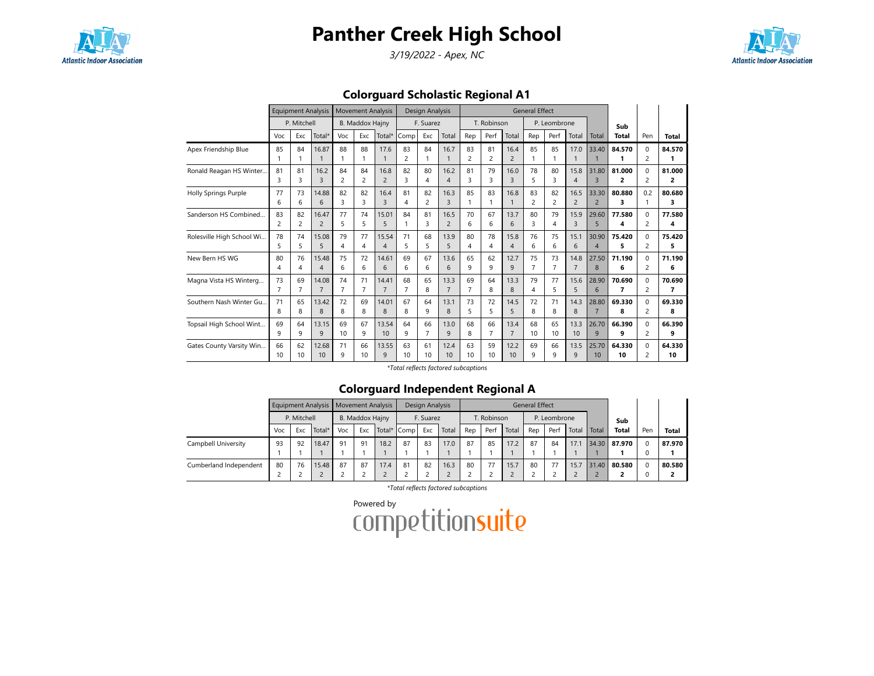

3/19/2022 - Apex, NC



Colorguard Scholastic Regional A1

|                           |                      | <b>Equipment Analysis</b> |                         |         | <b>Movement Analysis</b> |                |                      | Design Analysis      |                        |                      |                      |                          | <b>General Effect</b> |              |                        |                         |                |               |             |
|---------------------------|----------------------|---------------------------|-------------------------|---------|--------------------------|----------------|----------------------|----------------------|------------------------|----------------------|----------------------|--------------------------|-----------------------|--------------|------------------------|-------------------------|----------------|---------------|-------------|
|                           |                      | P. Mitchell               |                         |         | <b>B. Maddox Hajny</b>   |                |                      | F. Suarez            |                        |                      | T. Robinson          |                          |                       | P. Leombrone |                        |                         | Sub            |               |             |
|                           | Voc                  | Exc                       | Total*                  | Voc     | Exc                      | Total*         | Comp                 | Exc                  | Total                  | Rep                  | Perf                 | Total                    | Rep                   | Perf         | Total                  | Total                   | <b>Total</b>   | Pen           | Total       |
| Apex Friendship Blue      | 85<br>1              | 84<br>1                   | 16.87<br>$\mathbf{1}$   | 88<br>1 | 88<br>-1                 | 17.6           | 83<br>$\overline{c}$ | 84<br>1              | 16.7<br>$\mathbf{1}$   | 83<br>$\overline{c}$ | 81<br>$\overline{c}$ | 16.4<br>$\overline{2}$   | 85<br>1               | 85<br>1      | 17.0<br>1              | 33.40                   | 84.570<br>1    | 0<br>2        | 84.570<br>1 |
| Ronald Reagan HS Winter   | 81                   | 81                        | 16.2                    | 84      | 84                       | 16.8           | 82                   | 80                   | 16.2                   | 81                   | 79                   | 16.0                     | 78                    | 80           | 15.8                   | 31.80                   | 81.000         | $\Omega$      | 81.000      |
|                           | 3                    | 3                         | 3                       | 2       | 2                        | $\overline{2}$ | 3                    | 4                    | $\overline{4}$         | 3                    | 3                    | 3                        | 5                     | 3            | $\overline{4}$         | $\overline{3}$          | 2              | 2             | 2           |
| Holly Springs Purple      | 77<br>6              | 73<br>6                   | 14.88<br>6              | 82<br>3 | 82<br>3                  | 16.4<br>3      | 81<br>4              | 82<br>$\overline{c}$ | 16.3<br>$\overline{3}$ | 85<br>1              | 83<br>1              | 16.8<br>$\mathbf{1}$     | 83<br>2               | 82<br>2      | 16.5<br>$\overline{2}$ | 33.30<br>$\overline{2}$ | 80.880<br>3    | 0.2           | 80.680<br>3 |
| Sanderson HS Combined     | 83<br>$\overline{c}$ | 82<br>$\overline{c}$      | 16.47<br>$\overline{c}$ | 77<br>5 | 74<br>5                  | 15.01<br>5     | 84                   | 81<br>3              | 16.5<br>$\overline{2}$ | 70<br>6              | 67<br>6              | 13.7<br>6                | 80<br>3               | 79<br>4      | 15.9<br>3              | 29.60<br>5              | 77.580<br>4    | $\Omega$<br>2 | 77.580<br>4 |
| Rolesville High School Wi | 78                   | 74                        | 15.08                   | 79      | 77                       | 15.54          | 71                   | 68                   | 13.9                   | 80                   | 78                   | 15.8                     | 76                    | 75           | 15.1                   | 30.90                   | 75.420         | $\Omega$      | 75.420      |
|                           | 5                    | 5                         | 5                       | 4       | 4                        | $\overline{4}$ | 5                    | 5                    | 5                      | 4                    | 4                    | $\overline{\mathcal{A}}$ | 6                     | 6            | 6                      | $\overline{4}$          | 5              | 2             | 5           |
| New Bern HS WG            | 80                   | 76                        | 15.48                   | 75      | 72                       | 14.61          | 69                   | 67                   | 13.6                   | 65                   | 62                   | 12.7                     | 75                    | 73           | 14.8                   | 27.50                   | 71.190         | $\Omega$      | 71.190      |
|                           | 4                    | 4                         | $\overline{4}$          | 6       | 6                        | 6              | 6                    | 6                    | 6                      | 9                    | 9                    | 9                        | $\overline{7}$        | 7            | $\overline{7}$         | 8                       | 6              | 2             | 6           |
| Magna Vista HS Winterg    | 73                   | 69                        | 14.08                   | 74      | 71                       | 14.41          | 68                   | 65                   | 13.3                   | 69                   | 64                   | 13.3                     | 79                    | 77           | 15.6                   | 28.90                   | 70.690         | $\Omega$      | 70.690      |
|                           | $\overline{7}$       | $\overline{7}$            | $\overline{7}$          | 7       | $\overline{7}$           | $\overline{7}$ | $\overline{7}$       | 8                    | $\overline{7}$         | $\overline{7}$       | 8                    | 8                        | 4                     | 5            | 5                      | 6                       | $\overline{7}$ | 2             | 7           |
| Southern Nash Winter Gu   | 71                   | 65                        | 13.42                   | 72      | 69                       | 14.01          | 67                   | 64                   | 13.1                   | 73                   | 72                   | 14.5                     | 72                    | 71           | 14.3                   | 28.80                   | 69.330         | <sup>0</sup>  | 69.330      |
|                           | 8                    | 8                         | 8                       | 8       | 8                        | 8              | 8                    | 9                    | 8                      | 5                    | 5                    | 5                        | 8                     | 8            | 8                      | $\overline{7}$          | 8              | 2             | 8           |
| Topsail High School Wint  | 69                   | 64                        | 13.15                   | 69      | 67                       | 13.54          | 64                   | 66                   | 13.0                   | 68                   | 66                   | 13.4                     | 68                    | 65           | 13.3                   | 26.70                   | 66.390         | <sup>0</sup>  | 66.390      |
|                           | 9                    | 9                         | 9                       | 10      | 9                        | 10             | 9                    | $\overline{7}$       | 9                      | 8                    | 7                    | $\overline{7}$           | 10                    | 10           | 10                     | 9                       | 9              | 2             | 9           |
| Gates County Varsity Win  | 66                   | 62                        | 12.68                   | 71      | 66                       | 13.55          | 63                   | 61                   | 12.4                   | 63                   | 59                   | 12.2                     | 69                    | 66           | 13.5                   | 25.70                   | 64.330         | 0             | 64.330      |
|                           | 10                   | 10                        | 10                      | 9       | 10                       | 9              | 10                   | 10                   | 10                     | 10                   | 10                   | 10                       | 9                     | 9            | 9                      | 10                      | 10             | 2             | 10          |

\*Total reflects factored subcaptions

## Colorguard Independent Regional A

|                        |     |             | Equipment Analysis   Movement Analysis |     |                 |      |             | Design Analysis |       |     |             |       | <b>General Effect</b> |              |       |       |              |     |        |
|------------------------|-----|-------------|----------------------------------------|-----|-----------------|------|-------------|-----------------|-------|-----|-------------|-------|-----------------------|--------------|-------|-------|--------------|-----|--------|
|                        |     | P. Mitchell |                                        |     | B. Maddox Hajny |      |             | F. Suarez       |       |     | T. Robinson |       |                       | P. Leombrone |       |       | Sub          |     |        |
|                        | Voc | Exc.        | Total*                                 | Voc | Exc             |      | Total* Comp | Exc             | Total | Rep | Perf        | Total | Rep                   | Perf         | Total | Total | <b>Total</b> | Pen | Total  |
| Campbell University    | 93  | 92          | 18.47                                  | 91  | 91              | 18.2 | 87          | 83              | 17.0  | 87  | 85          | 17.2  | 87                    | 84           | 17.1  |       | 34.30 87.970 |     | 87.970 |
|                        |     |             |                                        |     |                 |      |             |                 |       |     |             |       |                       |              |       |       |              |     |        |
| Cumberland Independent | 80  | 76          | 15.48                                  | 87  | 87              | 17.4 | 81          | 82              | 16.3  | 80  | 77          | 15.7  | 80                    | 77           | 15.7  | 31.40 | 80.580       |     | 80.580 |
|                        |     |             |                                        |     |                 |      |             |                 |       |     |             |       |                       |              |       |       |              |     |        |

\*Total reflects factored subcaptions

| Powered by              |  |  |
|-------------------------|--|--|
| <b>competitionsuite</b> |  |  |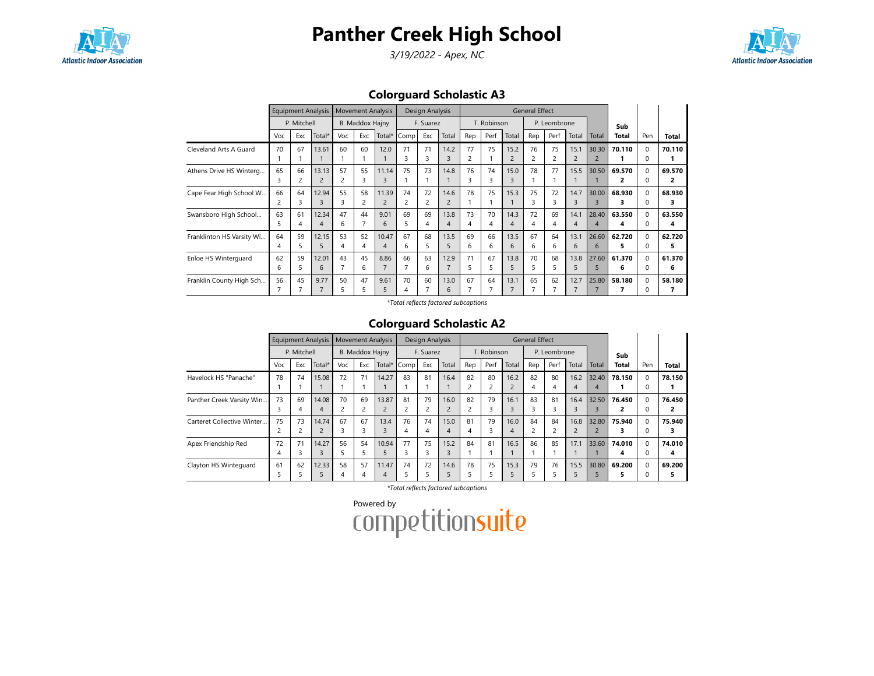

3/19/2022 - Apex, NC



# Colorguard Scholastic A3

|                           |     |                | <b>Equipment Analysis</b> |                | <b>Movement Analysis</b> |        |      | Design Analysis |                |     |             |                          | <b>General Effect</b> |              |                |                |        |              |        |
|---------------------------|-----|----------------|---------------------------|----------------|--------------------------|--------|------|-----------------|----------------|-----|-------------|--------------------------|-----------------------|--------------|----------------|----------------|--------|--------------|--------|
|                           |     | P. Mitchell    |                           |                | B. Maddox Hajny          |        |      | F. Suarez       |                |     | T. Robinson |                          |                       | P. Leombrone |                |                | Sub    |              |        |
|                           | Voc | Exc            | Total*                    | Voc            | Exc                      | Total* | Comp | Exc             | Total          | Rep | Perf        | Total                    | Rep                   | Perf         | Total          | Total          | Total  | Pen          | Total  |
| Cleveland Arts A Guard    | 70  | 67             | 13.61                     | 60             | 60                       | 12.0   | 71   | 71              | 14.2           | 77  | 75          | 15.2                     | 76                    | 75           | 15.1           | 30.30          | 70.110 | $\Omega$     | 70.110 |
|                           |     |                |                           |                |                          |        |      | 3               | 3              | 2   |             | $\overline{2}$           |                       | 2            | $\overline{2}$ | $\overline{2}$ |        | 0            |        |
| Athens Drive HS Winterg   | 65  | 66             | 13.13                     | 57             | 55                       | 11.14  | 75   | 73              | 14.8           | 76  | 74          | 15.0                     | 78                    | 77           | 15.5           | 30.50          | 69.570 | $\Omega$     | 69.570 |
|                           | 3   | $\overline{c}$ | $\overline{2}$            | 2              | 3                        | 3      |      |                 |                | 3   | 3           | 3                        |                       |              |                |                | 2      | 0            | 2      |
| Cape Fear High School W   | 66  | 64             | 12.94                     | 55             | 58                       | 11.39  | 74   | 72              | 14.6           | 78  | 75          | 15.3                     | 75                    | 72           | 14.7           | 30.00          | 68.930 | $\Omega$     | 68.930 |
|                           | 2   | 3              | 3                         | 3              | 2                        |        |      | 2               | $\overline{2}$ |     |             |                          | 3                     | 3            | 3              | ς              | з      |              | з      |
| Swansboro High School     | 63  | 61             | 12.34                     | 47             | 44                       | 9.01   | 69   | 69              | 13.8           | 73  | 70          | 14.3                     | 72                    | 69           | 14.1           | 28.40          | 63.550 | $\Omega$     | 63.550 |
|                           | 5.  | 4              | $\overline{4}$            | 6              |                          | 6      |      | 4               | $\overline{4}$ | 4   | 4           | $\overline{\mathcal{A}}$ | 4                     | 4            | 4              | 4              | 4      | <sup>0</sup> | 4      |
| Franklinton HS Varsity Wi | 64  | 59             | 12.15                     | 53             | 52                       | 10.47  | 67   | 68              | 13.5           | 69  | 66          | 13.5                     | 67                    | 64           | 13.1           | 26.60          | 62.720 | $\Omega$     | 62.720 |
|                           | 4   | 5              | 5                         | $\overline{4}$ | $\overline{4}$           | 4      | 6    | 5               | 5              | 6   | 6           | 6                        | 6                     | 6            | 6              | 6              | 5      | 0            | 5      |
| Enloe HS Winterguard      | 62  | 59             | 12.01                     | 43             | 45                       | 8.86   | 66   | 63              | 12.9           | 71  | 67          | 13.8                     | 70                    | 68           | 13.8           | 27.60          | 61.370 | $\Omega$     | 61.370 |
|                           | 6   | 5              | 6                         |                | 6                        |        |      | 6               |                | 5.  | 5           | 5                        | 5.                    | 5            | 5              | 5              | 6      | O            | 6      |
| Franklin County High Sch  | 56  | 45             | 9.77                      | 50             | 47                       | 9.61   | 70   | 60              | 13.0           | 67  | 64          | 13.1                     | 65                    | 62           | 12.7           | 25.80          | 58.180 | $\Omega$     | 58.180 |
|                           |     |                |                           | 5              | 5                        | 5      |      | 7               | 6              |     |             |                          |                       |              |                |                |        |              | 7      |

\*Total reflects factored subcaptions

## Colorguard Scholastic A2

|                            |     |             | <b>Equipment Analysis</b> |     |                        | <b>Movement Analysis</b> |                | Design Analysis |                |                |             |       | <b>General Effect</b> |              |                |       |              |          |              |
|----------------------------|-----|-------------|---------------------------|-----|------------------------|--------------------------|----------------|-----------------|----------------|----------------|-------------|-------|-----------------------|--------------|----------------|-------|--------------|----------|--------------|
|                            |     | P. Mitchell |                           |     | <b>B. Maddox Hajny</b> |                          |                | F. Suarez       |                |                | T. Robinson |       |                       | P. Leombrone |                |       | Sub          |          |              |
|                            | Voc | Exc         | Total*                    | Voc | Exc                    | Total*                   | Comp           | Exc             | Total          | Rep            | Perf        | Total | Rep                   | Perf         | Total          | Total | <b>Total</b> | Pen      | <b>Total</b> |
| Havelock HS "Panache"      | 78  | 74          | 15.08                     | 72  | 71                     | 14.27                    | 83             | 81              | 16.4           | 82             | 80          | 16.2  | 82                    | 80           | 16.2           | 32.40 | 78.150       | $\Omega$ | 78.150       |
|                            |     |             |                           |     |                        |                          |                |                 |                | $\overline{2}$ |             |       | 4                     | 4            | 4              | 4     |              | 0        |              |
| Panther Creek Varsity Win  | 73  | 69          | 14.08                     | 70  | 69                     | 13.87                    | 81             | 79              | 16.0           | 82             | 79          | 16.1  | 83                    | 81           | 16.4           | 32.50 | 76.450       | $\Omega$ | 76.450       |
|                            | 3   | 4           | 4                         |     |                        | $\overline{c}$           | $\overline{ }$ | 2               | $\overline{2}$ | $\overline{c}$ | 3           |       | 3                     | 3            | $\overline{3}$ | 3     |              | 0        |              |
| Carteret Collective Winter | 75  | 73          | 14.74                     | 67  | 67                     | 13.4                     | 76             | 74              | 15.0           | 81             | 79          | 16.0  | 84                    | 84           | 16.8           | 32.80 | 75.940       | $\Omega$ | 75.940       |
|                            |     |             | 2                         | З   | 3                      |                          | 4              | 4               | $\overline{4}$ | $\overline{4}$ |             |       | 2                     |              | $\overline{2}$ |       |              |          |              |
| Apex Friendship Red        | 72  | 71          | 14.27                     | 56  | 54                     | 10.94                    | 77             | 75              | 15.2           | 84             | 81          | 16.5  | 86                    | 85           | 17.1           | 33.60 | 74.010       | $\Omega$ | 74.010       |
|                            | 4   | ς           | 3                         |     |                        |                          | 3              | 3               | $\overline{3}$ |                |             |       |                       |              |                |       | 4            | O        | 4            |
| Clayton HS Wintequard      | 61  | 62          | 12.33                     | 58  | 57                     | 11.47                    | 74             | 72              | 14.6           | 78             | 75          | 15.3  | 79                    | 76           | 15.5           | 30.80 | 69.200       | $\Omega$ | 69.200       |
|                            | ∍   |             | 5                         | 4   | 4                      | 4                        | ╮              | ב               |                | 5              |             |       |                       |              |                |       |              | O        |              |

\*Total reflects factored subcaptions

| Powered by              |  |
|-------------------------|--|
| <b>competitionsuite</b> |  |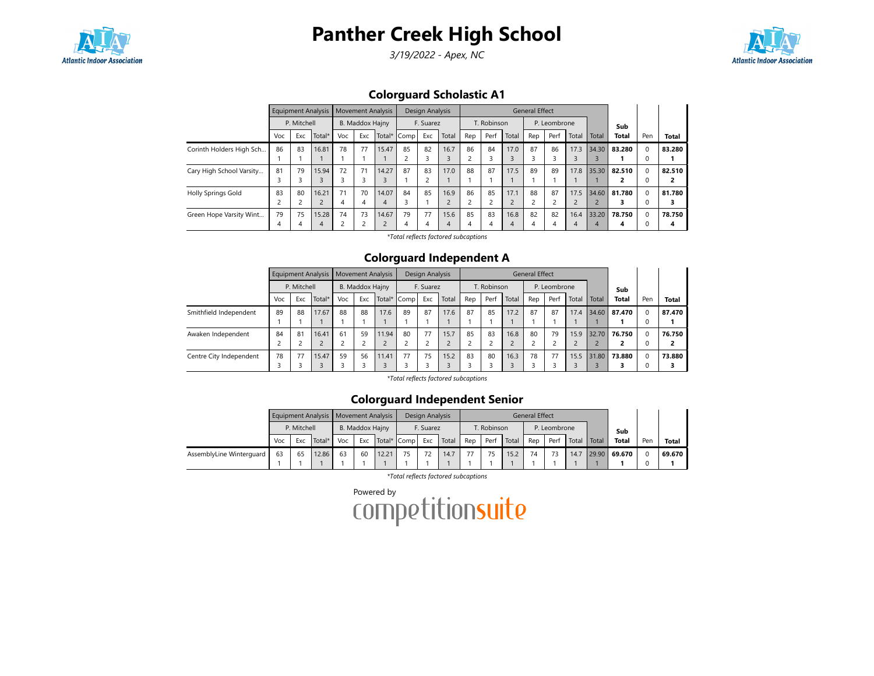

3/19/2022 - Apex, NC



## Colorguard Scholastic A1

|                           |     |             | Equipment Analysis |     |                 | <b>Movement Analysis</b> |      | Design Analysis |       |                         |             |       | <b>General Effect</b> |              |       |       |              |          |        |
|---------------------------|-----|-------------|--------------------|-----|-----------------|--------------------------|------|-----------------|-------|-------------------------|-------------|-------|-----------------------|--------------|-------|-------|--------------|----------|--------|
|                           |     | P. Mitchell |                    |     | B. Maddox Hajny |                          |      | F. Suarez       |       |                         | T. Robinson |       |                       | P. Leombrone |       |       | Sub          |          |        |
|                           | Voc | Exc         | Total*             | Voc | Exc             | Total*                   | Comp | Exc             | Total | Rep                     | Perf        | Total | Rep                   | Perf         | Total | Total | <b>Total</b> | Pen      | Total  |
| Corinth Holders High Sch  | 86  | 83          | 16.81              | 78  | 77              | 15.47                    | 85   | 82              | 16.7  | 86                      | 84          | 17.0  | 87                    | 86           | 17.3  | 34.30 | 83.280       | $\Omega$ | 83.280 |
|                           |     |             |                    |     |                 |                          |      | 3               |       | $\overline{\mathbf{c}}$ |             |       |                       |              | 3     |       |              |          |        |
| Cary High School Varsity  | 81  | 79          | 15.94              | 72  | 71              | 14.27                    | 87   | 83              | 17.0  | 88                      | 87          | 17.5  | 89                    | 89           | 17.8  | 35.30 | 82.510       | $\Omega$ | 82.510 |
|                           |     |             |                    |     | 3               |                          |      | $\overline{c}$  |       |                         |             |       |                       |              |       |       |              |          |        |
| <b>Holly Springs Gold</b> | 83  | 80          | 16.21              | 71  | 70              | 14.07                    | 84   | 85              | 16.9  | 86                      | 85          | 17.1  | 88                    | 87           | 17.5  | 34.60 | 81.780       | $\Omega$ | 81.780 |
|                           |     |             | $\epsilon$         | 4   | 4               |                          | 3    |                 |       | 2                       |             |       | <sup>-</sup>          |              | ے     |       |              |          |        |
| Green Hope Varsity Wint   | 79  | 75          | 15.28              | 74  | 73              | 14.67                    | 79   | 77              | 15.6  | 85                      | 83          | 16.8  | 82                    | 82           | 16.4  | 33.20 | 78.750       | $\Omega$ | 78.750 |
|                           | 4   |             | 4                  |     |                 |                          | 4    | 4               | 4     | 4                       | 4           | 4     | 4                     |              | 4     | 4     | Δ            |          | 4      |

\*Total reflects factored subcaptions

### Colorguard Independent A

|                         |     |             |        | Equipment Analysis   Movement Analysis |                 |       |             | Design Analysis |       |     |             |       | General Effect |              |       |       |              |          |              |
|-------------------------|-----|-------------|--------|----------------------------------------|-----------------|-------|-------------|-----------------|-------|-----|-------------|-------|----------------|--------------|-------|-------|--------------|----------|--------------|
|                         |     | P. Mitchell |        |                                        | B. Maddox Hajny |       |             | F. Suarez       |       |     | T. Robinson |       |                | P. Leombrone |       |       | Sub          |          |              |
|                         | Voc | Exc         | Total* | Voc                                    | Exc             |       | Total* Comp | Exc             | Total | Rep | Perf        | Total | Rep            | Perf         | Total | Total | <b>Total</b> | Pen      | <b>Total</b> |
| Smithfield Independent  | 89  | 88          | 17.67  | 88                                     | 88              | 17.6  | 89          | 87              | 17.6  | 87  | 85          | 17.2  | 87             | 87           | 17.4  | 34.60 | 87.470       | $\Omega$ | 87.470       |
|                         |     |             |        |                                        |                 |       |             |                 |       |     |             |       |                |              |       |       |              |          |              |
| Awaken Independent      | 84  | 81          | 16.41  | 61                                     | 59              | 11.94 | 80          | 77              | 15.7  | 85  | 83          | 16.8  | 80             | 79           | 15.9  | 32.70 | 76.750       |          | 76.750       |
|                         |     |             |        |                                        | 2               |       |             |                 |       |     |             |       |                |              |       |       |              |          |              |
| Centre City Independent | 78  | 77          | 15.47  | 59                                     | 56              | 11.41 | 77          | 75              | 15.2  | 83  | 80          | 16.3  | 78             | 77           | 15.5  | 31.80 | 73.880       | $\Omega$ | 73.880       |
|                         |     |             |        |                                        |                 |       |             |                 |       |     |             |       |                |              |       |       |              |          |              |

\*Total reflects factored subcaptions

### Colorguard Independent Senior

|                          |     |             | Equipment Analysis   Movement Analysis |     |                 |             | Design Analysis |       |     |             |       | General Effect |              |               |       |              |     |        |
|--------------------------|-----|-------------|----------------------------------------|-----|-----------------|-------------|-----------------|-------|-----|-------------|-------|----------------|--------------|---------------|-------|--------------|-----|--------|
|                          |     | P. Mitchell |                                        |     | B. Maddox Hajny |             | F. Suarez       |       |     | T. Robinson |       |                | P. Leombrone |               |       | Sub          |     |        |
|                          | Voc | Exc.        | Total*                                 | Voc | Exc             | Total* Comp | Exc             | Total | Rep | Perf        | Total | Rep            | Perf         | Total   Total |       | <b>Total</b> | Pen | Total  |
| AssemblyLine Winterguard | 63  | 65          | 12.86                                  | 63  | 60              | 12.21       | 72              | 14.7  | 77  |             | 15.2  | 74             |              | 14.7          | 29.90 | 69.670       |     | 69.670 |
|                          |     |             |                                        |     |                 |             |                 |       |     |             |       |                |              |               |       |              |     |        |

\*Total reflects factored subcaptions

Powered by<br>COMPetitionsuite